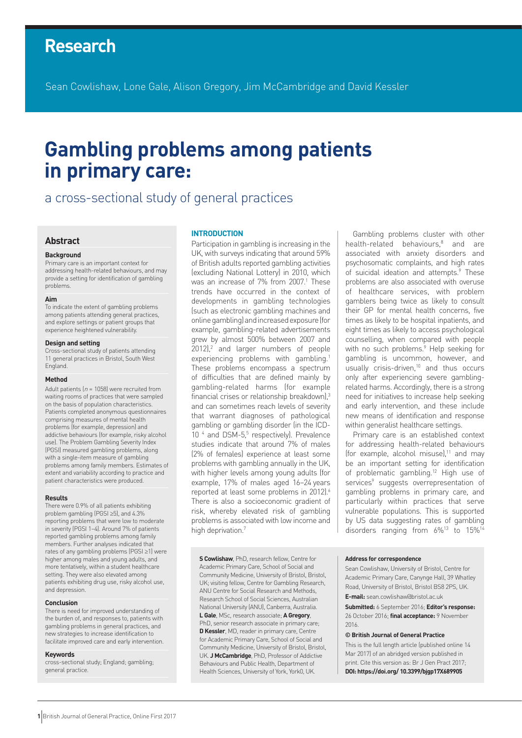# **Research**

Sean Cowlishaw, Lone Gale, Alison Gregory, Jim McCambridge and David Kessler

# **Gambling problems among patients in primary care:**

## a cross-sectional study of general practices

#### **Abstract**

#### **Background**

Primary care is an important context for addressing health-related behaviours, and may provide a setting for identification of gambling problems.

#### **Aim**

To indicate the extent of gambling problems among patients attending general practices, and explore settings or patient groups that experience heightened vulnerability.

#### **Design and setting**

Cross-sectional study of patients attending 11 general practices in Bristol, South West England.

#### **Method**

Adult patients ( $n = 1058$ ) were recruited from waiting rooms of practices that were sampled on the basis of population characteristics. Patients completed anonymous questionnaires comprising measures of mental health problems (for example, depression) and addictive behaviours (for example, risky alcohol use). The Problem Gambling Severity Index (PGSI) measured gambling problems, along with a single-item measure of gambling problems among family members. Estimates of extent and variability according to practice and patient characteristics were produced.

#### **Results**

There were 0.9% of all patients exhibiting problem gambling (PGSI ≥5), and 4.3% reporting problems that were low to moderate in severity (PGSI 1–4). Around 7% of patients reported gambling problems among family members. Further analyses indicated that rates of any gambling problems (PGSI ≥1) were higher among males and young adults, and more tentatively, within a student healthcare setting. They were also elevated among patients exhibiting drug use, risky alcohol use, and depression.

#### **Conclusion**

There is need for improved understanding of the burden of, and responses to, patients with gambling problems in general practices, and new strategies to increase identification to facilitate improved care and early intervention.

#### **Keywords**

cross-sectional study; England; gambling; general practice.

#### **INTRODUCTION**

Participation in gambling is increasing in the UK, with surveys indicating that around 59% of British adults reported gambling activities (excluding National Lottery) in 2010, which was an increase of 7% from 2007.<sup>1</sup> These trends have occurred in the context of developments in gambling technologies (such as electronic gambling machines and online gambling) and increased exposure (for example, gambling-related advertisements grew by almost 500% between 2007 and 2012),<sup>2</sup> and larger numbers of people experiencing problems with gambling.<sup>1</sup> These problems encompass a spectrum of difficulties that are defined mainly by gambling-related harms (for example financial crises or relationship breakdown),3 and can sometimes reach levels of severity that warrant diagnoses of pathological gambling or gambling disorder (in the ICD-10<sup>4</sup> and DSM-5,<sup>5</sup> respectively). Prevalence studies indicate that around 7% of males (2% of females) experience at least some problems with gambling annually in the UK, with higher levels among young adults (for example, 17% of males aged 16–24 years reported at least some problems in 2012).<sup>6</sup> There is also a socioeconomic gradient of risk, whereby elevated risk of gambling problems is associated with low income and high deprivation.<sup>7</sup>

**S Cowlishaw**, PhD, research fellow, Centre for Academic Primary Care, School of Social and Community Medicine, University of Bristol, Bristol, UK; visiting fellow, Centre for Gambling Research, ANU Centre for Social Research and Methods, Research School of Social Sciences, Australian National University (ANU), Canberra, Australia. **L Gale**, MSc, research associate; **A Gregory**, PhD, senior research associate in primary care; **D Kessler**, MD, reader in primary care, Centre for Academic Primary Care, School of Social and Community Medicine, University of Bristol, Bristol, UK. **J McCambridge**, PhD, Professor of Addictive Behaviours and Public Health, Department of Health Sciences, University of York, York0, UK.

Gambling problems cluster with other health-related behaviours,<sup>8</sup> and are associated with anxiety disorders and psychosomatic complaints, and high rates of suicidal ideation and attempts.<sup>9</sup> These problems are also associated with overuse of healthcare services, with problem gamblers being twice as likely to consult their GP for mental health concerns, five times as likely to be hospital inpatients, and eight times as likely to access psychological counselling, when compared with people with no such problems.<sup>9</sup> Help seeking for gambling is uncommon, however, and usually crisis-driven, $10$  and thus occurs only after experiencing severe gamblingrelated harms. Accordingly, there is a strong need for initiatives to increase help seeking and early intervention, and these include new means of identification and response within generalist healthcare settings.

Primary care is an established context for addressing health-related behaviours (for example, alcohol misuse), $11$  and may be an important setting for identification of problematic gambling.12 High use of services<sup>9</sup> suggests overrepresentation of gambling problems in primary care, and particularly within practices that serve vulnerable populations. This is supported by US data suggesting rates of gambling disorders ranging from 6%13 to 15%14

#### **Address for correspondence**

Sean Cowlishaw, University of Bristol, Centre for Academic Primary Care, Canynge Hall, 39 Whatley Road, University of Bristol, Bristol BS8 2PS, UK.

**E-mail:** sean.cowlishaw@bristol.ac.uk

**Submitted:** 6 September 2016; **Editor's response:** 26 October 2016; **final acceptance:** 9 November 2016.

#### **© British Journal of General Practice**

This is the full length article (published online 14 Mar 2017) of an abridged version published in print. Cite this version as: Br J Gen Pract 2017; **DOI: https://doi.org/ 10.3399/bjgp17X689905**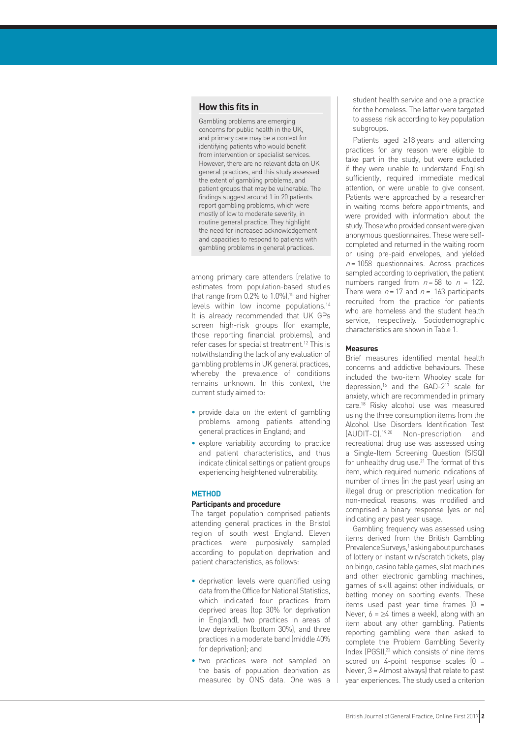### **How this fits in**

Gambling problems are emerging concerns for public health in the UK, and primary care may be a context for identifying patients who would benefit from intervention or specialist services. However, there are no relevant data on UK general practices, and this study assessed the extent of gambling problems, and patient groups that may be vulnerable. The findings suggest around 1 in 20 patients report gambling problems, which were mostly of low to moderate severity, in routine general practice. They highlight the need for increased acknowledgement and capacities to respond to patients with gambling problems in general practices.

among primary care attenders (relative to estimates from population-based studies that range from  $0.2\%$  to 1.0%),<sup>15</sup> and higher levels within low income populations.14 It is already recommended that UK GPs screen high-risk groups (for example, those reporting financial problems), and refer cases for specialist treatment.12 This is notwithstanding the lack of any evaluation of gambling problems in UK general practices, whereby the prevalence of conditions remains unknown. In this context, the current study aimed to:

- provide data on the extent of gambling problems among patients attending general practices in England; and
- explore variability according to practice and patient characteristics, and thus indicate clinical settings or patient groups experiencing heightened vulnerability.

#### **METHOD**

#### **Participants and procedure**

The target population comprised patients attending general practices in the Bristol region of south west England. Eleven practices were purposively sampled according to population deprivation and patient characteristics, as follows:

- deprivation levels were quantified using data from the Office for National Statistics, which indicated four practices from deprived areas (top 30% for deprivation in England), two practices in areas of low deprivation (bottom 30%), and three practices in a moderate band (middle 40% for deprivation); and
- two practices were not sampled on the basis of population deprivation as measured by ONS data. One was a

student health service and one a practice for the homeless. The latter were targeted to assess risk according to key population subgroups.

Patients aged ≥18 years and attending practices for any reason were eligible to take part in the study, but were excluded if they were unable to understand English sufficiently, required immediate medical attention, or were unable to give consent. Patients were approached by a researcher in waiting rooms before appointments, and were provided with information about the study. Those who provided consent were given anonymous questionnaires. These were selfcompleted and returned in the waiting room or using pre-paid envelopes, and yielded  $n = 1058$  questionnaires. Across practices sampled according to deprivation, the patient numbers ranged from  $n = 58$  to  $n = 122$ . There were  $n = 17$  and  $n = 163$  participants recruited from the practice for patients who are homeless and the student health service, respectively. Sociodemographic characteristics are shown in Table 1.

#### **Measures**

Brief measures identified mental health concerns and addictive behaviours. These included the two-item Whooley scale for depression,<sup>16</sup> and the GAD-2<sup>17</sup> scale for anxiety, which are recommended in primary care.18 Risky alcohol use was measured using the three consumption items from the Alcohol Use Disorders Identification Test (AUDIT-C).19,20 Non-prescription and recreational drug use was assessed using a Single-Item Screening Question (SISQ) for unhealthy drug use.<sup>21</sup> The format of this item, which required numeric indications of number of times (in the past year) using an illegal drug or prescription medication for non-medical reasons, was modified and comprised a binary response (yes or no) indicating any past year usage.

Gambling frequency was assessed using items derived from the British Gambling Prevalence Surveys,<sup>1</sup> asking about purchases of lottery or instant win/scratch tickets, play on bingo, casino table games, slot machines and other electronic gambling machines, games of skill against other individuals, or betting money on sporting events. These items used past year time frames (0 = Never,  $6 = \geq 4$  times a week), along with an item about any other gambling. Patients reporting gambling were then asked to complete the Problem Gambling Severity Index (PGSI),<sup>22</sup> which consists of nine items scored on 4-point response scales  $[0 =$ Never, 3 = Almost always) that relate to past year experiences. The study used a criterion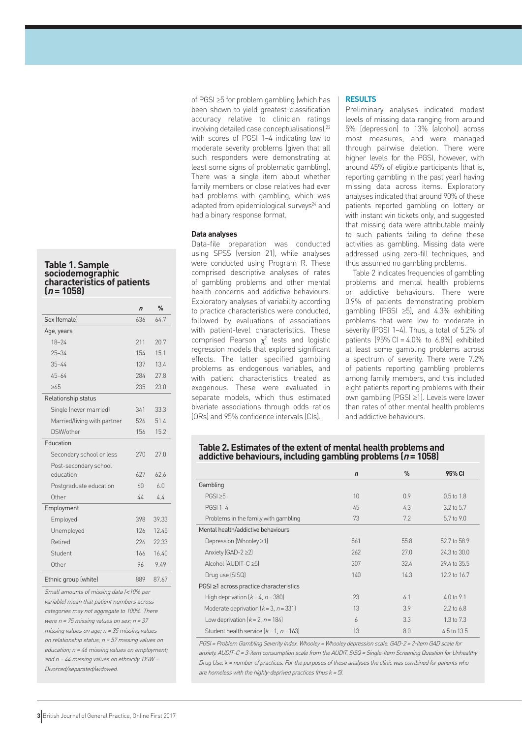#### **Table 1. Sample sociodemographic characteristics of patients (<sup>n</sup> = 1058)**

|                             | $\overline{r}$ | $\frac{0}{n}$ |
|-----------------------------|----------------|---------------|
| Sex (female)                | 636            | 64.7          |
| Age, years                  |                |               |
| $18 - 24$                   | 211            | 20.7          |
| $25 - 34$                   | 154            | 151           |
| $35 - 44$                   | 137            | 13.4          |
| $45 - 64$                   | 284            | 27.8          |
| >6.5                        | 235            | 23.0          |
| Relationship status         |                |               |
| Single (never married)      | 341            | 33.3          |
| Married/living with partner | 526            | 51.4          |
| DSW/other                   | 156            | 15.2          |
| <b>Education</b>            |                |               |
| Secondary school or less    | 270            | 27.0          |
| Post-secondary school       |                |               |
| education                   | 627            | 626           |
| Postgraduate education      | 60             | 6.0           |
| Other                       | 44             | 44            |
| Employment                  |                |               |
| Employed                    | 398            | 39.33         |
| Unemployed                  | 126            | 12.45         |
| Retired                     | 226            | 22.33         |
| Student                     | 166            | 16.40         |
| Other                       | 96             | 9.49          |
| Ethnic group (white)        | 889            | 87.67         |
|                             |                |               |

Small amounts of missing data (<10% per variable) mean that patient numbers across categories may not aggregate to 100%. There were  $n = 75$  missing values on sex;  $n = 37$ missing values on age; n = 35 missing values on relationship status; n = 57 missing values on education;  $n = 46$  missing values on employment; and  $n = 44$  missing values on ethnicity. DSW = Divorced/separated/widowed.

of PGSI ≥5 for problem gambling (which has been shown to yield greatest classification accuracy relative to clinician ratings involving detailed case conceptualisations),<sup>23</sup> with scores of PGSI 1–4 indicating low to moderate severity problems (given that all such responders were demonstrating at least some signs of problematic gambling). There was a single item about whether family members or close relatives had ever had problems with gambling, which was adapted from epidemiological surveys<sup>24</sup> and had a binary response format.

#### **Data analyses**

Data-file preparation was conducted using SPSS (version 21), while analyses were conducted using Program R. These comprised descriptive analyses of rates of gambling problems and other mental health concerns and addictive behaviours. Exploratory analyses of variability according to practice characteristics were conducted, followed by evaluations of associations with patient-level characteristics. These comprised Pearson  $\chi^2$  tests and logistic regression models that explored significant effects. The latter specified gambling problems as endogenous variables, and with patient characteristics treated as exogenous. These were evaluated in separate models, which thus estimated bivariate associations through odds ratios (ORs) and 95% confidence intervals (CIs).

#### **RESULTS**

Preliminary analyses indicated modest levels of missing data ranging from around 5% (depression) to 13% (alcohol) across most measures, and were managed through pairwise deletion. There were higher levels for the PGSI, however, with around 45% of eligible participants (that is, reporting gambling in the past year) having missing data across items. Exploratory analyses indicated that around 90% of these patients reported gambling on lottery or with instant win tickets only, and suggested that missing data were attributable mainly to such patients failing to define these activities as gambling. Missing data were addressed using zero-fill techniques, and thus assumed no gambling problems.

Table 2 indicates frequencies of gambling problems and mental health problems or addictive behaviours. There were 0.9% of patients demonstrating problem gambling (PGSI ≥5), and 4.3% exhibiting problems that were low to moderate in severity (PGSI 1–4). Thus, a total of 5.2% of patients  $(95\% \text{ Cl} = 4.0\% \text{ to } 6.8\%)$  exhibited at least some gambling problems across a spectrum of severity. There were 7.2% of patients reporting gambling problems among family members, and this included eight patients reporting problems with their own gambling (PGSI ≥1). Levels were lower than rates of other mental health problems and addictive behaviours.

#### **Table 2. Estimates of the extent of mental health problems and addictive behaviours, including gambling problems (n = 1058)**

|                                           | $\mathbf n$     | $\%$ | 95% CI                |  |
|-------------------------------------------|-----------------|------|-----------------------|--|
| Gambling                                  |                 |      |                       |  |
| PGSI > 5                                  | 10 <sup>1</sup> | 0.9  | $0.5 \text{ to } 1.8$ |  |
| <b>PGSI 1-4</b>                           | 45              | 4.3  | $3.2$ to $5.7$        |  |
| Problems in the family with gambling      | 73              | 7.2  | $5.7$ to $9.0$        |  |
| Mental health/addictive behaviours        |                 |      |                       |  |
| Depression (Whooley ≥1)                   | 561             | 55.8 | 52.7 to 58.9          |  |
| Anxiety (GAD-2 $\geq$ 2)                  | 262             | 27.0 | 24.3 to 30.0          |  |
| Alcohol (AUDIT-C ≥5)                      | 307             | 32.4 | 29.4 to 35.5          |  |
| Drug use (SISQ)                           | 140             | 14.3 | 12.2 to 16.7          |  |
| PGSI ≥1 across practice characteristics   |                 |      |                       |  |
| High deprivation $(k = 4, n = 380)$       | 23              | 6.1  | $4.0 \text{ to } 9.1$ |  |
| Moderate deprivation $(k = 3, n = 331)$   | 13              | 3.9  | $2.2$ to 6.8          |  |
| Low deprivation $(k = 2, n = 184)$        | $\overline{6}$  | 3.3  | $1.3 \text{ to } 7.3$ |  |
| Student health service $[k = 1, n = 163]$ | 13              | 8.0  | 4.5 to 13.5           |  |

PGSI = Problem Gambling Severity Index. Whooley = Whooley depression scale. GAD-2 = 2-item GAD scale for anxiety. AUDIT-C = 3-item consumption scale from the AUDIT. SISQ = Single-Item Screening Question for Unhealthy Drug Use. k = number of practices. For the purposes of these analyses the clinic was combined for patients who are homeless with the highly-deprived practices (thus  $k = 5$ ).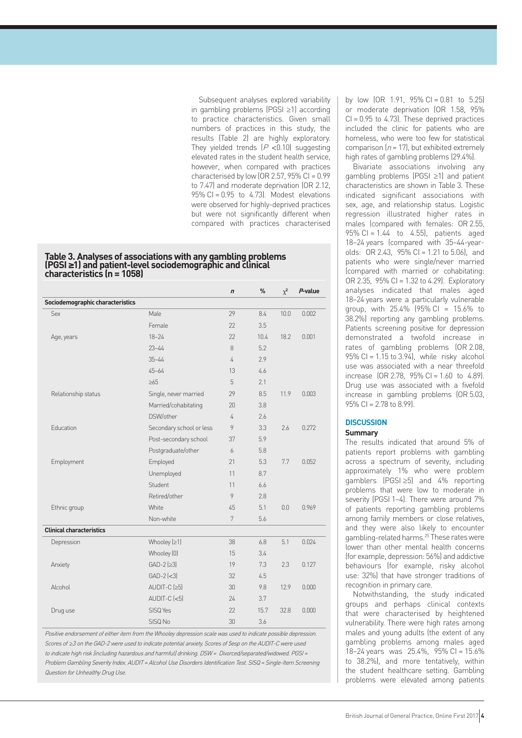Subsequent analyses explored variability in gambling problems (PGSI ≥1) according to practice characteristics. Given small numbers of practices in this study, the results (Table 2) are highly exploratory. They yielded trends  $(P < 0.10)$  suggesting elevated rates in the student health service, however, when compared with practices characterised by low (OR 2.57,  $95\%$  CI = 0.99 to 7.47) and moderate deprivation (OR 2.12,  $95\%$  CI = 0.95 to 4.73). Modest elevations were observed for highly-deprived practices but were not significantly different when compared with practices characterised

## **Table 3. Analyses of associations with any gambling problems (PGSI <sup>≥</sup>1) and patient-level sociodemographic and clinical characteristics (n = 1058)**

|                                  |                          | $\mathbf n$ | %    | $\chi^2$ | P-value |
|----------------------------------|--------------------------|-------------|------|----------|---------|
| Sociodemographic characteristics |                          |             |      |          |         |
| <b>Sex</b>                       | Male                     | 29          | 8.4  | 10.0     | 0.002   |
|                                  | Female                   | 22          | 3.5  |          |         |
| Age, years                       | $18 - 24$                | 22          | 10.4 | 18.2     | 0.001   |
|                                  | $23 - 44$                | 8           | 5.2  |          |         |
|                                  | $35 - 44$                | 4           | 2.9  |          |         |
|                                  | $45 - 64$                | 13          | 4.6  |          |         |
|                                  | >65                      | 5           | 2.1  |          |         |
| Relationship status              | Single, never married    | 29          | 8.5  | 11.9     | 0.003   |
|                                  | Married/cohabitating     | 20          | 3.8  |          |         |
|                                  | DSW/other                | 4           | 2.6  |          |         |
| Education                        | Secondary school or less | 9           | 3.3  | 2.6      | 0.272   |
|                                  | Post-secondary school    | 37          | 5.9  |          |         |
|                                  | Postgraduate/other       | 6           | 5.8  |          |         |
| Employment                       | Employed                 | 21          | 5.3  | 7.7      | 0.052   |
|                                  | Unemployed               | 11          | 8.7  |          |         |
|                                  | Student                  | 11          | 6.6  |          |         |
|                                  | Retired/other            | 9           | 2.8  |          |         |
| Ethnic group                     | White                    | 45          | 5.1  | 0.0      | 0.969   |
|                                  | Non-white                | 7           | 5.6  |          |         |
| <b>Clinical characteristics</b>  |                          |             |      |          |         |
| Depression                       | Whooley $[≥1]$           | 38          | 6.8  | 5.1      | 0.024   |
|                                  | Whooley [0]              | 15          | 3.4  |          |         |
| Anxiety                          | $GAD-2$ ( $\geq$ 3)      | 19          | 7.3  | 2.3      | 0.127   |
|                                  | $GAD-2$ (<3)             | 32          | 4.5  |          |         |
| Alcohol                          | $AUDIT-C$ ( $\geq$ 5)    | 30          | 9.8  | 12.9     | 0.000   |
|                                  | $AUDIT-C$ $(<5)$         | 24          | 3.7  |          |         |
| Drug use                         | SISQ Yes                 | 22          | 15.7 | 32.8     | 0.000   |
|                                  | SISQ No                  | 30          | 3.6  |          |         |

Positive endorsement of either item from the Whooley depression scale was used to indicate possible depression. Scores of ≥3 on the GAD-2 were used to indicate potential anxiety. Scores of 5esp on the AUDIT-C were used to indicate high risk (including hazardous and harmful) drinking. DSW = Divorced/separated/widowed. PGSI = Problem Gambling Severity Index. AUDIT = Alcohol Use Disorders Identification Test. SISQ = Single-Item Screening Question for Unhealthy Drug Use.

by low  $[OR 1.91, 95\% CI = 0.81$  to 5.25) or moderate deprivation (OR 1.58, 95%  $Cl = 0.95$  to 4.73). These deprived practices included the clinic for patients who are homeless, who were too few for statistical comparison  $(n = 17)$ , but exhibited extremely high rates of gambling problems (29.4%).

Bivariate associations involving any gambling problems (PGSI ≥1) and patient characteristics are shown in Table 3. These indicated significant associations with sex, age, and relationship status. Logistic regression illustrated higher rates in males (compared with females: OR 2.55, 95% CI = 1.44 to 4.55), patients aged 18–24 years (compared with 35–44-yearolds: OR 2.43, 95% CI = 1.21 to 5.06), and patients who were single/never married (compared with married or cohabitating: OR 2.35, 95% CI = 1.32 to 4.29). Exploratory analyses indicated that males aged 18–24 years were a particularly vulnerable group, with 25.4% (95% CI = 15.6% to 38.2%) reporting any gambling problems. Patients screening positive for depression demonstrated a twofold increase in rates of gambling problems (OR 2.08,  $95\%$  CI = 1.15 to 3.94), while risky alcohol use was associated with a near threefold increase  $[OR 2.78, 95\% CI = 1.60$  to 4.89). Drug use was associated with a fivefold increase in gambling problems (OR 5.03,  $95\%$  CI = 2.78 to 8.99)

#### **DISCUSSION**

#### **Summary**

The results indicated that around 5% of patients report problems with gambling across a spectrum of severity, including approximately 1% who were problem gamblers (PGSI ≥5) and 4% reporting problems that were low to moderate in severity (PGSI 1–4). There were around 7% of patients reporting gambling problems among family members or close relatives, and they were also likely to encounter gambling-related harms.25 These rates were lower than other mental health concerns (for example, depression: 56%) and addictive behaviours (for example, risky alcohol use: 32%) that have stronger traditions of recognition in primary care.

Notwithstanding, the study indicated groups and perhaps clinical contexts that were characterised by heightened vulnerability. There were high rates among males and young adults (the extent of any gambling problems among males aged 18–24 years was 25.4%, 95% CI = 15.6% to 38.2%), and more tentatively, within the student healthcare setting. Gambling problems were elevated among patients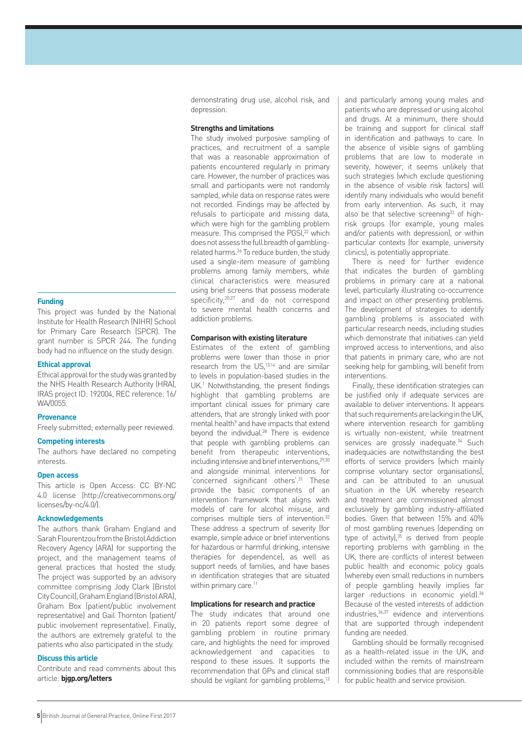#### **Funding**

This project was funded by the National Institute for Health Research (NIHR) School for Primary Care Research (SPCR). The grant number is SPCR 244. The funding body had no influence on the study design.

#### **Ethical approval**

Ethical approval for the study was granted by the NHS Health Research Authority (HRA), IRAS project ID: 192004, REC reference: 16/ WA/0055.

#### **Provenance**

Freely submitted; externally peer reviewed.

#### **Competing interests**

The authors have declared no competing interests.

#### **Open access**

This article is Open Access: CC BY-NC 4.0 license (http://creativecommons.org/ licenses/by-nc/4.0/).

#### **Acknowledgements**

The authors thank Graham England and Sarah Flourentzou from the Bristol Addiction Recovery Agency (ARA) for supporting the project, and the management teams of general practices that hosted the study. The project was supported by an advisory committee comprising Jody Clark (Bristol City Council), Graham England (Bristol ARA), Graham Box (patient/public involvement representative) and Gail Thornton (patient/ public involvement representative). Finally, the authors are extremely grateful to the patients who also participated in the study.

#### **Discuss this article**

Contribute and read comments about this article: **bjgp.org/letters**

demonstrating drug use, alcohol risk, and depression.

#### **Strengths and limitations**

The study involved purposive sampling of practices, and recruitment of a sample that was a reasonable approximation of patients encountered regularly in primary care. However, the number of practices was small and participants were not randomly sampled, while data on response rates were not recorded. Findings may be affected by refusals to participate and missing data, which were high for the gambling problem measure. This comprised the PGSI,<sup>22</sup> which does not assess the full breadth of gamblingrelated harms.26 To reduce burden, the study used a single-item measure of gambling problems among family members, while clinical characteristics were measured using brief screens that possess moderate specificity, <sup>20,27</sup> and do not correspond to severe mental health concerns and addiction problems.

#### **Comparison with existing literature**

Estimates of the extent of gambling problems were lower than those in prior research from the US,<sup>13,14</sup> and are similar to levels in population-based studies in the UK.<sup>1</sup> Notwithstanding, the present findings highlight that gambling problems are important clinical issues for primary care attenders, that are strongly linked with poor mental health<sup>9</sup> and have impacts that extend beyond the individual.<sup>28</sup> There is evidence that people with gambling problems can benefit from therapeutic interventions, including intensive and brief interventions, $29,30$ and alongside minimal interventions for 'concerned significant others'.31 These provide the basic components of an intervention framework that aligns with models of care for alcohol misuse, and comprises multiple tiers of intervention.<sup>32</sup> These address a spectrum of severity (for example, simple advice or brief interventions for hazardous or harmful drinking, intensive therapies for dependence), as well as support needs of families, and have bases in identification strategies that are situated within primary care.<sup>11</sup>

#### **Implications for research and practice**

The study indicates that around one in 20 patients report some degree of gambling problem in routine primary care, and highlights the need for improved acknowledgement and capacities to respond to these issues. It supports the recommendation that GPs and clinical staff should be vigilant for gambling problems,<sup>12</sup>

and particularly among young males and patients who are depressed or using alcohol and drugs. At a minimum, there should be training and support for clinical staff in identification and pathways to care. In the absence of visible signs of gambling problems that are low to moderate in severity, however, it seems unlikely that such strategies (which exclude questioning in the absence of visible risk factors) will identify many individuals who would benefit from early intervention. As such, it may also be that selective screening<sup>33</sup> of highrisk groups (for example, young males and/or patients with depression), or within particular contexts (for example, university clinics), is potentially appropriate.

There is need for further evidence that indicates the burden of gambling problems in primary care at a national level, particularly illustrating co-occurrence and impact on other presenting problems. The development of strategies to identify gambling problems is associated with particular research needs, including studies which demonstrate that initiatives can yield improved access to interventions, and also that patients in primary care, who are not seeking help for gambling, will benefit from interventions.

Finally, these identification strategies can be justified only if adequate services are available to deliver interventions. It appears that such requirements are lacking in the UK, where intervention research for gambling is virtually non-existent, while treatment services are grossly inadequate.<sup>34</sup> Such inadequacies are notwithstanding the best efforts of service providers (which mainly comprise voluntary sector organisations), and can be attributed to an unusual situation in the UK whereby research and treatment are commissioned almost exclusively by gambling industry-affiliated bodies. Given that between 15% and 40% of most gambling revenues (depending on type of activity), $35$  is derived from people reporting problems with gambling in the UK, there are conflicts of interest between public health and economic policy goals (whereby even small reductions in numbers of people gambling heavily implies far larger reductions in economic yield).<sup>36</sup> Because of the vested interests of addiction industries,36,37 evidence and interventions that are supported through independent funding are needed.

Gambling should be formally recognised as a health-related issue in the UK, and included within the remits of mainstream commissioning bodies that are responsible for public health and service provision.